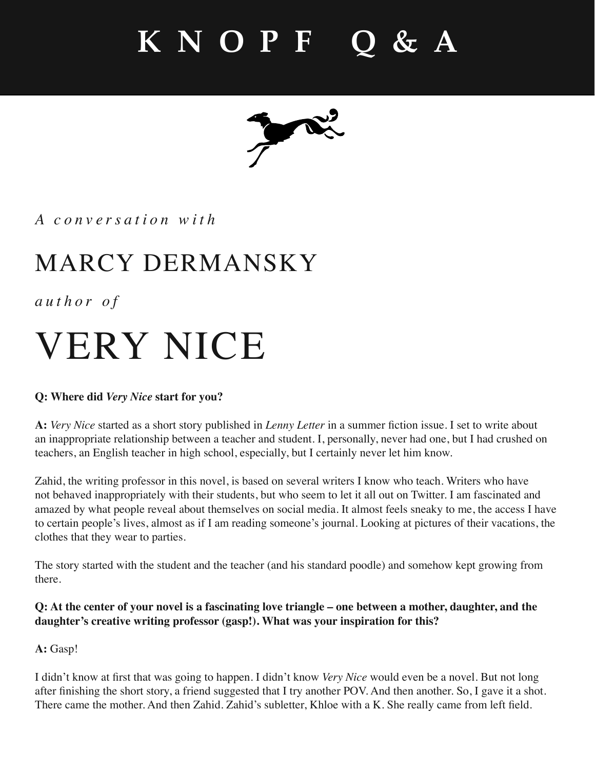

*A conversation with*

### MARCY DERMANSKY

*author of*

# VERY NICE

### **Q: Where did** *Very Nice* **start for you?**

A: Very Nice started as a short story published in *Lenny Letter* in a summer fiction issue. I set to write about an inappropriate relationship between a teacher and student. I, personally, never had one, but I had crushed on teachers, an English teacher in high school, especially, but I certainly never let him know.

Zahid, the writing professor in this novel, is based on several writers I know who teach. Writers who have not behaved inappropriately with their students, but who seem to let it all out on Twitter. I am fascinated and amazed by what people reveal about themselves on social media. It almost feels sneaky to me, the access I have to certain people's lives, almost as if I am reading someone's journal. Looking at pictures of their vacations, the clothes that they wear to parties.

The story started with the student and the teacher (and his standard poodle) and somehow kept growing from there.

**Q: At the center of your novel is a fascinating love triangle – one between a mother, daughter, and the daughter's creative writing professor (gasp!). What was your inspiration for this?**

**A:** Gasp!

I didn't know at first that was going to happen. I didn't know *Very Nice* would even be a novel. But not long after finishing the short story, a friend suggested that I try another POV. And then another. So, I gave it a shot. There came the mother. And then Zahid. Zahid's subletter, Khloe with a K. She really came from left field.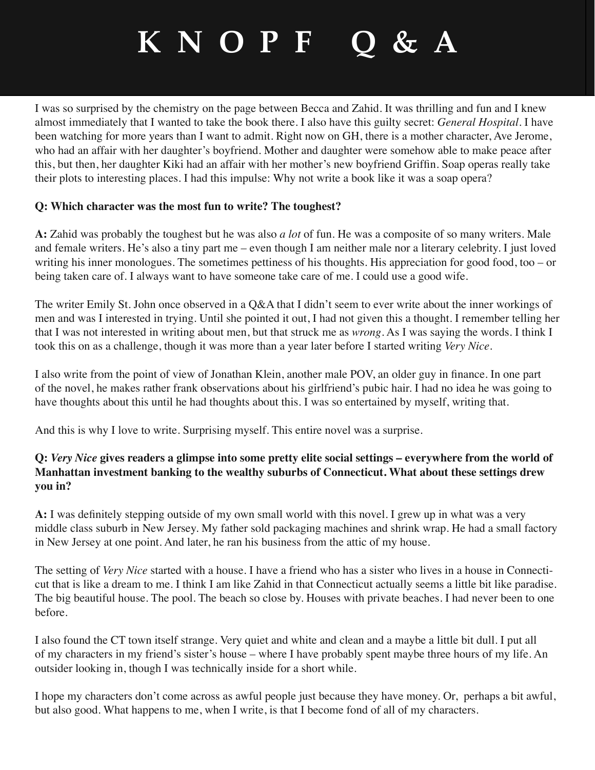I was so surprised by the chemistry on the page between Becca and Zahid. It was thrilling and fun and I knew almost immediately that I wanted to take the book there. I also have this guilty secret: *General Hospital*. I have been watching for more years than I want to admit. Right now on GH, there is a mother character, Ave Jerome, who had an affair with her daughter's boyfriend. Mother and daughter were somehow able to make peace after this, but then, her daughter Kiki had an affair with her mother's new boyfriend Griffin. Soap operas really take their plots to interesting places. I had this impulse: Why not write a book like it was a soap opera?

#### **Q: Which character was the most fun to write? The toughest?**

**A:** Zahid was probably the toughest but he was also *a lot* of fun. He was a composite of so many writers. Male and female writers. He's also a tiny part me – even though I am neither male nor a literary celebrity. I just loved writing his inner monologues. The sometimes pettiness of his thoughts. His appreciation for good food, too – or being taken care of. I always want to have someone take care of me. I could use a good wife.

The writer Emily St. John once observed in a Q&A that I didn't seem to ever write about the inner workings of men and was I interested in trying. Until she pointed it out, I had not given this a thought. I remember telling her that I was not interested in writing about men, but that struck me as *wrong*. As I was saying the words. I think I took this on as a challenge, though it was more than a year later before I started writing *Very Nice*.

I also write from the point of view of Jonathan Klein, another male POV, an older guy in finance. In one part of the novel, he makes rather frank observations about his girlfriend's pubic hair. I had no idea he was going to have thoughts about this until he had thoughts about this. I was so entertained by myself, writing that.

And this is why I love to write. Surprising myself. This entire novel was a surprise.

### **Q:** *Very Nice* **gives readers a glimpse into some pretty elite social settings – everywhere from the world of Manhattan investment banking to the wealthy suburbs of Connecticut. What about these settings drew you in?**

A: I was definitely stepping outside of my own small world with this novel. I grew up in what was a very middle class suburb in New Jersey. My father sold packaging machines and shrink wrap. He had a small factory in New Jersey at one point. And later, he ran his business from the attic of my house.

The setting of *Very Nice* started with a house. I have a friend who has a sister who lives in a house in Connecticut that is like a dream to me. I think I am like Zahid in that Connecticut actually seems a little bit like paradise. The big beautiful house. The pool. The beach so close by. Houses with private beaches. I had never been to one before.

I also found the CT town itself strange. Very quiet and white and clean and a maybe a little bit dull. I put all of my characters in my friend's sister's house – where I have probably spent maybe three hours of my life. An outsider looking in, though I was technically inside for a short while.

I hope my characters don't come across as awful people just because they have money. Or, perhaps a bit awful, but also good. What happens to me, when I write, is that I become fond of all of my characters.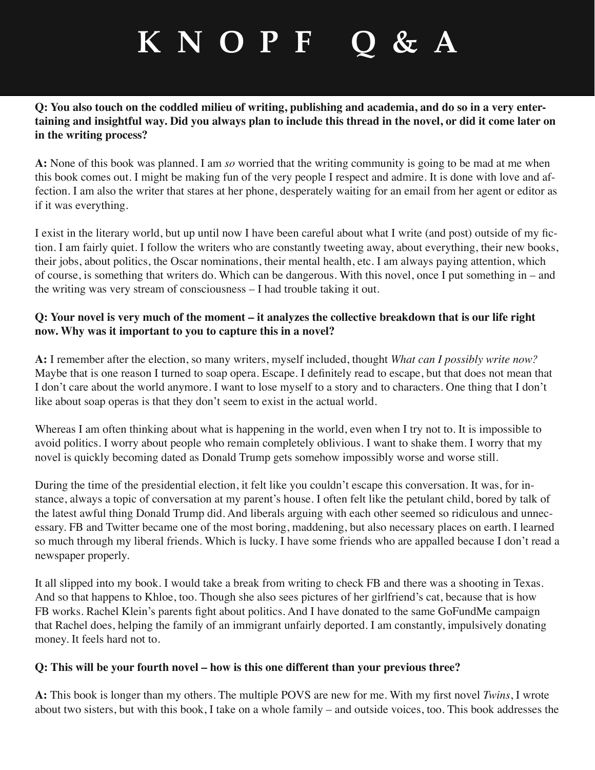#### **Q: You also touch on the coddled milieu of writing, publishing and academia, and do so in a very entertaining and insightful way. Did you always plan to include this thread in the novel, or did it come later on in the writing process?**

**A:** None of this book was planned. I am *so* worried that the writing community is going to be mad at me when this book comes out. I might be making fun of the very people I respect and admire. It is done with love and affection. I am also the writer that stares at her phone, desperately waiting for an email from her agent or editor as if it was everything.

I exist in the literary world, but up until now I have been careful about what I write (and post) outside of my fiction. I am fairly quiet. I follow the writers who are constantly tweeting away, about everything, their new books, their jobs, about politics, the Oscar nominations, their mental health, etc. I am always paying attention, which of course, is something that writers do. Which can be dangerous. With this novel, once I put something in – and the writing was very stream of consciousness – I had trouble taking it out.

#### **Q: Your novel is very much of the moment – it analyzes the collective breakdown that is our life right now. Why was it important to you to capture this in a novel?**

**A:** I remember after the election, so many writers, myself included, thought *What can I possibly write now?*  Maybe that is one reason I turned to soap opera. Escape. I definitely read to escape, but that does not mean that I don't care about the world anymore. I want to lose myself to a story and to characters. One thing that I don't like about soap operas is that they don't seem to exist in the actual world.

Whereas I am often thinking about what is happening in the world, even when I try not to. It is impossible to avoid politics. I worry about people who remain completely oblivious. I want to shake them. I worry that my novel is quickly becoming dated as Donald Trump gets somehow impossibly worse and worse still.

During the time of the presidential election, it felt like you couldn't escape this conversation. It was, for instance, always a topic of conversation at my parent's house. I often felt like the petulant child, bored by talk of the latest awful thing Donald Trump did. And liberals arguing with each other seemed so ridiculous and unnecessary. FB and Twitter became one of the most boring, maddening, but also necessary places on earth. I learned so much through my liberal friends. Which is lucky. I have some friends who are appalled because I don't read a newspaper properly.

It all slipped into my book. I would take a break from writing to check FB and there was a shooting in Texas. And so that happens to Khloe, too. Though she also sees pictures of her girlfriend's cat, because that is how FB works. Rachel Klein's parents fight about politics. And I have donated to the same GoFundMe campaign that Rachel does, helping the family of an immigrant unfairly deported. I am constantly, impulsively donating money. It feels hard not to.

#### **Q: This will be your fourth novel – how is this one different than your previous three?**

A: This book is longer than my others. The multiple POVS are new for me. With my first novel *Twins*, I wrote about two sisters, but with this book, I take on a whole family – and outside voices, too. This book addresses the